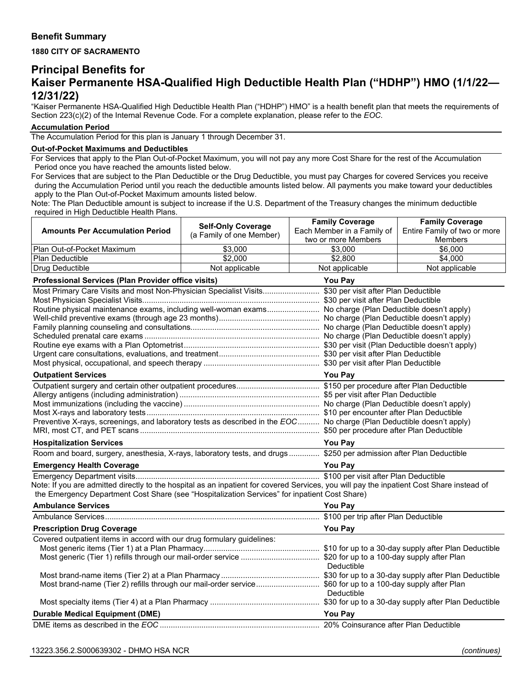## **Benefit Summary**

### **1880 CITY OF SACRAMENTO**

# **Principal Benefits for Kaiser Permanente HSA-Qualified High Deductible Health Plan ("HDHP") HMO (1/1/22— 12/31/22)**

"Kaiser Permanente HSA-Qualified High Deductible Health Plan ("HDHP") HMO" is a health benefit plan that meets the requirements of Section 223(c)(2) of the Internal Revenue Code. For a complete explanation, please refer to the *EOC*.

#### **Accumulation Period**

The Accumulation Period for this plan is January 1 through December 31.

#### **Out-of-Pocket Maximums and Deductibles**

For Services that apply to the Plan Out-of-Pocket Maximum, you will not pay any more Cost Share for the rest of the Accumulation Period once you have reached the amounts listed below.

For Services that are subject to the Plan Deductible or the Drug Deductible, you must pay Charges for covered Services you receive during the Accumulation Period until you reach the deductible amounts listed below. All payments you make toward your deductibles apply to the Plan Out-of-Pocket Maximum amounts listed below.

Note: The Plan Deductible amount is subject to increase if the U.S. Department of the Treasury changes the minimum deductible required in High Deductible Health Plans.  $\overline{\phantom{a}}$ 

|                                                                                                                                           | <b>Self-Only Coverage</b> | <b>Family Coverage</b>                            | <b>Family Coverage</b>                                                                                                |  |
|-------------------------------------------------------------------------------------------------------------------------------------------|---------------------------|---------------------------------------------------|-----------------------------------------------------------------------------------------------------------------------|--|
| <b>Amounts Per Accumulation Period</b>                                                                                                    | (a Family of one Member)  | Each Member in a Family of<br>two or more Members | Entire Family of two or more<br>Members                                                                               |  |
| Plan Out-of-Pocket Maximum                                                                                                                | \$3,000                   | \$3,000                                           | \$6,000                                                                                                               |  |
| Plan Deductible                                                                                                                           | \$2,000                   | \$2,800                                           | \$4,000                                                                                                               |  |
| Drug Deductible                                                                                                                           | Not applicable            | Not applicable                                    | Not applicable                                                                                                        |  |
| Professional Services (Plan Provider office visits)                                                                                       |                           | You Pay                                           |                                                                                                                       |  |
| Most Primary Care Visits and most Non-Physician Specialist Visits \$30 per visit after Plan Deductible                                    |                           |                                                   |                                                                                                                       |  |
|                                                                                                                                           |                           |                                                   |                                                                                                                       |  |
| Routine physical maintenance exams, including well-woman exams No charge (Plan Deductible doesn't apply)                                  |                           |                                                   |                                                                                                                       |  |
|                                                                                                                                           |                           |                                                   |                                                                                                                       |  |
|                                                                                                                                           |                           |                                                   |                                                                                                                       |  |
|                                                                                                                                           |                           |                                                   |                                                                                                                       |  |
|                                                                                                                                           |                           |                                                   |                                                                                                                       |  |
|                                                                                                                                           |                           |                                                   |                                                                                                                       |  |
|                                                                                                                                           |                           |                                                   |                                                                                                                       |  |
| <b>Outpatient Services</b>                                                                                                                |                           | <b>You Pay</b>                                    |                                                                                                                       |  |
|                                                                                                                                           |                           |                                                   |                                                                                                                       |  |
|                                                                                                                                           |                           |                                                   |                                                                                                                       |  |
|                                                                                                                                           |                           |                                                   |                                                                                                                       |  |
|                                                                                                                                           |                           |                                                   | Preventive X-rays, screenings, and laboratory tests as described in the EOC No charge (Plan Deductible doesn't apply) |  |
|                                                                                                                                           |                           |                                                   |                                                                                                                       |  |
| <b>Hospitalization Services</b>                                                                                                           |                           | <b>You Pay</b>                                    |                                                                                                                       |  |
| Room and board, surgery, anesthesia, X-rays, laboratory tests, and drugs \$250 per admission after Plan Deductible                        |                           |                                                   |                                                                                                                       |  |
| <b>Emergency Health Coverage</b>                                                                                                          |                           | <b>You Pay</b>                                    |                                                                                                                       |  |
|                                                                                                                                           |                           |                                                   |                                                                                                                       |  |
| Note: If you are admitted directly to the hospital as an inpatient for covered Services, you will pay the inpatient Cost Share instead of |                           |                                                   |                                                                                                                       |  |
| the Emergency Department Cost Share (see "Hospitalization Services" for inpatient Cost Share)                                             |                           |                                                   |                                                                                                                       |  |
| <b>Ambulance Services</b>                                                                                                                 |                           | You Pay                                           |                                                                                                                       |  |
|                                                                                                                                           |                           |                                                   |                                                                                                                       |  |
| <b>Prescription Drug Coverage</b>                                                                                                         |                           | You Pay                                           |                                                                                                                       |  |
| Covered outpatient items in accord with our drug formulary guidelines:                                                                    |                           |                                                   |                                                                                                                       |  |
|                                                                                                                                           |                           |                                                   |                                                                                                                       |  |
|                                                                                                                                           |                           | Deductible                                        |                                                                                                                       |  |
|                                                                                                                                           |                           |                                                   |                                                                                                                       |  |
| Most brand-name (Tier 2) refills through our mail-order service \$60 for up to a 100-day supply after Plan                                |                           | Deductible                                        |                                                                                                                       |  |
|                                                                                                                                           |                           |                                                   |                                                                                                                       |  |
| <b>Durable Medical Equipment (DME)</b>                                                                                                    | <b>You Pay</b>            |                                                   |                                                                                                                       |  |
|                                                                                                                                           |                           |                                                   |                                                                                                                       |  |